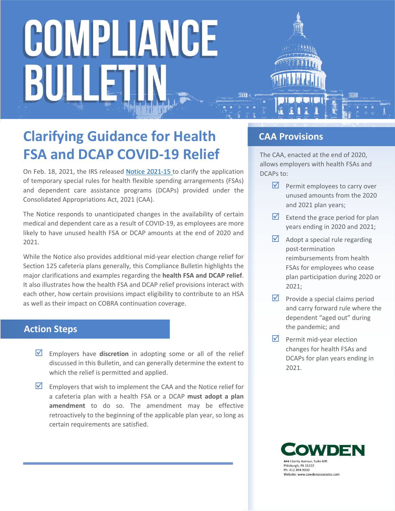

On Feb. 18, 2021, the IRS released [Notice 2021-15](https://www.irs.gov/pub/irs-drop/n-21-15.pdf) to clarify the application of temporary special rules for health flexible spending arrangements (FSAs) and dependent care assistance programs (DCAPs) provided under the Consolidated Appropriations Act, 2021 (CAA).

The Notice responds to unanticipated changes in the availability of certain medical and dependent care as a result of COVID-19, as employees are more likely to have unused health FSA or DCAP amounts at the end of 2020 and 2021.

While the Notice also provides additional mid-year election change relief for Section 125 cafeteria plans generally, this Compliance Bulletin highlights the major clarifications and examples regarding the **health FSA and DCAP relief**. It also illustrates how the health FSA and DCAP relief provisions interact with each other, how certain provisions impact eligibility to contribute to an HSA as well as their impact on COBRA continuation coverage.

## **Action Steps**

- **Employers have discretion** in adopting some or all of the relief discussed in this Bulletin, and can generally determine the extent to which the relief is permitted and applied.
- $\blacksquare$  Employers that wish to implement the CAA and the Notice relief for a cafeteria plan with a health FSA or a DCAP **must adopt a plan amendment** to do so. The amendment may be effective retroactively to the beginning of the applicable plan year, so long as certain requirements are satisfied.

## **CAA Provisions**

The CAA, enacted at the end of 2020, allows employers with health FSAs and DCAPs to:

- $\triangledown$  Permit employees to carry over unused amounts from the 2020 and 2021 plan years;
- Extend the grace period for plan years ending in 2020 and 2021;
- $\blacksquare$  Adopt a special rule regarding post-termination reimbursements from health FSAs for employees who cease plan participation during 2020 or 2021;
- $\triangleright$  Provide a special claims period and carry forward rule where the dependent "aged out" during the pandemic; and
- $\triangleright$  Permit mid-year election changes for health FSAs and DCAPs for plan years ending in 2021.

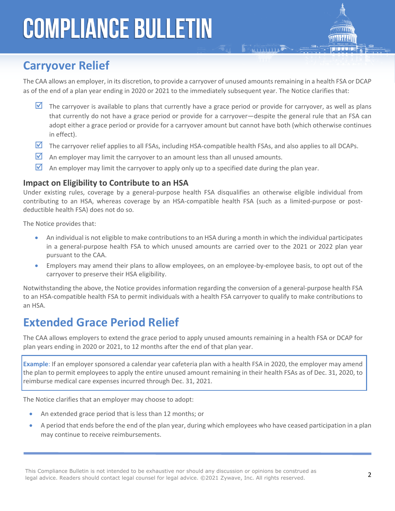# **Carryover Relief**

The CAA allows an employer, in its discretion, to provide a carryover of unused amounts remaining in a health FSA or DCAP as of the end of a plan year ending in 2020 or 2021 to the immediately subsequent year. The Notice clarifies that:

**E BALLITTILLE** 

- $\blacksquare$  The carryover is available to plans that currently have a grace period or provide for carryover, as well as plans that currently do not have a grace period or provide for a carryover—despite the general rule that an FSA can adopt either a grace period or provide for a carryover amount but cannot have both (which otherwise continues in effect).
- $\overline{M}$  The carryover relief applies to all FSAs, including HSA-compatible health FSAs, and also applies to all DCAPs.
- $\boxtimes$  An employer may limit the carryover to an amount less than all unused amounts.
- $\blacksquare$  An employer may limit the carryover to apply only up to a specified date during the plan year.

#### **Impact on Eligibility to Contribute to an HSA**

Under existing rules, coverage by a general-purpose health FSA disqualifies an otherwise eligible individual from contributing to an HSA, whereas coverage by an HSA-compatible health FSA (such as a limited-purpose or postdeductible health FSA) does not do so.

The Notice provides that:

- An individual is not eligible to make contributions to an HSA during a month in which the individual participates in a general-purpose health FSA to which unused amounts are carried over to the 2021 or 2022 plan year pursuant to the CAA.
- Employers may amend their plans to allow employees, on an employee-by-employee basis, to opt out of the carryover to preserve their HSA eligibility.

Notwithstanding the above, the Notice provides information regarding the conversion of a general-purpose health FSA to an HSA-compatible health FSA to permit individuals with a health FSA carryover to qualify to make contributions to an HSA.

# **Extended Grace Period Relief**

The CAA allows employers to extend the grace period to apply unused amounts remaining in a health FSA or DCAP for plan years ending in 2020 or 2021, to 12 months after the end of that plan year.

**Example**: If an employer sponsored a calendar year cafeteria plan with a health FSA in 2020, the employer may amend the plan to permit employees to apply the entire unused amount remaining in their health FSAs as of Dec. 31, 2020, to reimburse medical care expenses incurred through Dec. 31, 2021.

The Notice clarifies that an employer may choose to adopt:

- An extended grace period that is less than 12 months; or
- A period that ends before the end of the plan year, during which employees who have ceased participation in a plan may continue to receive reimbursements.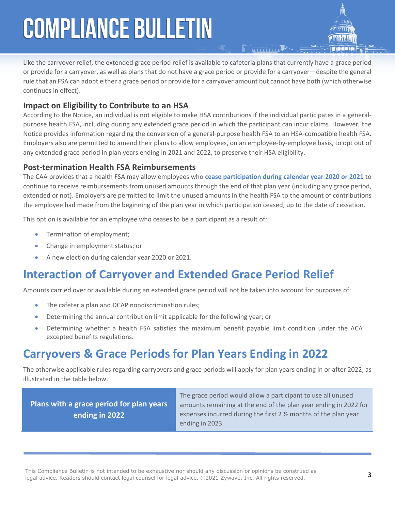Like the carryover relief, the extended grace period relief is available to cafeteria plans that currently have a grace period or provide for a carryover, as well as plans that do not have a grace period or provide for a carryover—despite the general rule that an FSA can adopt either a grace period or provide for a carryover amount but cannot have both (which otherwise continues in effect).

### **Impact on Eligibility to Contribute to an HSA**

According to the Notice, an individual is not eligible to make HSA contributions if the individual participates in a generalpurpose health FSA, including during any extended grace period in which the participant can incur claims. However, the Notice provides information regarding the conversion of a general-purpose health FSA to an HSA-compatible health FSA. Employers also are permitted to amend their plans to allow employees, on an employee-by-employee basis, to opt out of any extended grace period in plan years ending in 2021 and 2022, to preserve their HSA eligibility.

### **Post-termination Health FSA Reimbursements**

The CAA provides that a health FSA may allow employees who **cease participation during calendar year 2020 or 2021** to continue to receive reimbursements from unused amounts through the end of that plan year (including any grace period, extended or not). Employers are permitted to limit the unused amounts in the health FSA to the amount of contributions the employee had made from the beginning of the plan year in which participation ceased, up to the date of cessation.

This option is available for an employee who ceases to be a participant as a result of:

- Termination of employment;
- Change in employment status; or
- A new election during calendar year 2020 or 2021.

# **Interaction of Carryover and Extended Grace Period Relief**

Amounts carried over or available during an extended grace period will not be taken into account for purposes of:

- The cafeteria plan and DCAP nondiscrimination rules;
- Determining the annual contribution limit applicable for the following year; or
- Determining whether a health FSA satisfies the maximum benefit payable limit condition under the ACA excepted benefits regulations.

# **Carryovers & Grace Periods for Plan Years Ending in 2022**

The otherwise applicable rules regarding carryovers and grace periods will apply for plan years ending in or after 2022, as illustrated in the table below.

**Plans with a grace period for plan years ending in 2022**

The grace period would allow a participant to use all unused amounts remaining at the end of the plan year ending in 2022 for expenses incurred during the first 2 ½ months of the plan year ending in 2023.

This Compliance Bulletin is not intended to be exhaustive nor should any discussion or opinions be construed as legal advice. Readers should contact legal counsel for legal advice. ©2021 Zywave, Inc. All rights reserved.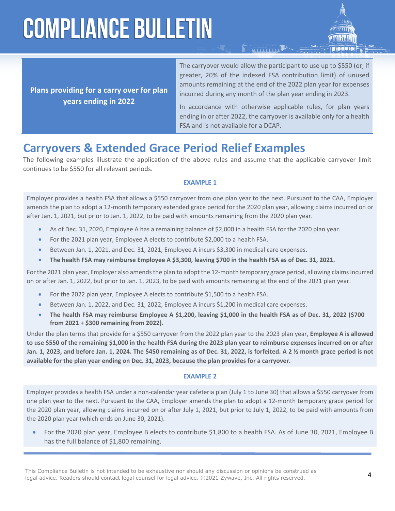

**Plans providing for a carry over for plan years ending in 2022**

The carryover would allow the participant to use up to \$550 (or, if greater, 20% of the indexed FSA contribution limit) of unused amounts remaining at the end of the 2022 plan year for expenses incurred during any month of the plan year ending in 2023.

**FALLID LIKE** 

In accordance with otherwise applicable rules, for plan years ending in or after 2022, the carryover is available only for a health FSA and is not available for a DCAP.

# **Carryovers & Extended Grace Period Relief Examples**

The following examples illustrate the application of the above rules and assume that the applicable carryover limit continues to be \$550 for all relevant periods.

#### **EXAMPLE 1**

Employer provides a health FSA that allows a \$550 carryover from one plan year to the next. Pursuant to the CAA, Employer amends the plan to adopt a 12-month temporary extended grace period for the 2020 plan year, allowing claims incurred on or after Jan. 1, 2021, but prior to Jan. 1, 2022, to be paid with amounts remaining from the 2020 plan year.

- As of Dec. 31, 2020, Employee A has a remaining balance of \$2,000 in a health FSA for the 2020 plan year.
- For the 2021 plan year, Employee A elects to contribute \$2,000 to a health FSA.
- Between Jan. 1, 2021, and Dec. 31, 2021, Employee A incurs \$3,300 in medical care expenses.
- **The health FSA may reimburse Employee A \$3,300, leaving \$700 in the health FSA as of Dec. 31, 2021.**

For the 2021 plan year, Employer also amends the plan to adopt the 12-month temporary grace period, allowing claims incurred on or after Jan. 1, 2022, but prior to Jan. 1, 2023, to be paid with amounts remaining at the end of the 2021 plan year.

- For the 2022 plan year, Employee A elects to contribute \$1,500 to a health FSA.
- Between Jan. 1, 2022, and Dec. 31, 2022, Employee A incurs \$1,200 in medical care expenses.
- **The health FSA may reimburse Employee A \$1,200, leaving \$1,000 in the health FSA as of Dec. 31, 2022 (\$700 from 2021 + \$300 remaining from 2022).**

Under the plan terms that provide for a \$550 carryover from the 2022 plan year to the 2023 plan year, **Employee A is allowed to use \$550 of the remaining \$1,000 in the health FSA during the 2023 plan year to reimburse expenses incurred on or after Jan. 1, 2023, and before Jan. 1, 2024. The \$450 remaining as of Dec. 31, 2022, is forfeited. A 2 ½ month grace period is not available for the plan year ending on Dec. 31, 2023, because the plan provides for a carryover.**

#### **EXAMPLE 2**

Employer provides a health FSA under a non-calendar year cafeteria plan (July 1 to June 30) that allows a \$550 carryover from one plan year to the next. Pursuant to the CAA, Employer amends the plan to adopt a 12-month temporary grace period for the 2020 plan year, allowing claims incurred on or after July 1, 2021, but prior to July 1, 2022, to be paid with amounts from the 2020 plan year (which ends on June 30, 2021).

 For the 2020 plan year, Employee B elects to contribute \$1,800 to a health FSA. As of June 30, 2021, Employee B has the full balance of \$1,800 remaining.

This Compliance Bulletin is not intended to be exhaustive nor should any discussion or opinions be construed as legal advice. Readers should contact legal counsel for legal advice. ©2021 Zywave, Inc. All rights reserved.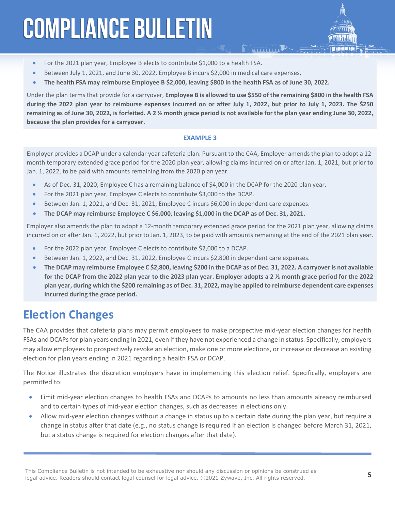- For the 2021 plan year, Employee B elects to contribute \$1,000 to a health FSA.
- Between July 1, 2021, and June 30, 2022, Employee B incurs \$2,000 in medical care expenses.
- **The health FSA may reimburse Employee B \$2,000, leaving \$800 in the health FSA as of June 30, 2022.**

Under the plan terms that provide for a carryover, **Employee B is allowed to use \$550 of the remaining \$800 in the health FSA during the 2022 plan year to reimburse expenses incurred on or after July 1, 2022, but prior to July 1, 2023. The \$250 remaining as of June 30, 2022, is forfeited. A 2 ½ month grace period is not available for the plan year ending June 30, 2022, because the plan provides for a carryover.**

#### **EXAMPLE 3**

Employer provides a DCAP under a calendar year cafeteria plan. Pursuant to the CAA, Employer amends the plan to adopt a 12 month temporary extended grace period for the 2020 plan year, allowing claims incurred on or after Jan. 1, 2021, but prior to Jan. 1, 2022, to be paid with amounts remaining from the 2020 plan year.

- As of Dec. 31, 2020, Employee C has a remaining balance of \$4,000 in the DCAP for the 2020 plan year.
- For the 2021 plan year, Employee C elects to contribute \$3,000 to the DCAP.
- Between Jan. 1, 2021, and Dec. 31, 2021, Employee C incurs \$6,000 in dependent care expenses.
- **The DCAP may reimburse Employee C \$6,000, leaving \$1,000 in the DCAP as of Dec. 31, 2021.**

Employer also amends the plan to adopt a 12-month temporary extended grace period for the 2021 plan year, allowing claims incurred on or after Jan. 1, 2022, but prior to Jan. 1, 2023, to be paid with amounts remaining at the end of the 2021 plan year.

- For the 2022 plan year, Employee C elects to contribute \$2,000 to a DCAP.
- Between Jan. 1, 2022, and Dec. 31, 2022, Employee C incurs \$2,800 in dependent care expenses.
- **The DCAP may reimburse Employee C \$2,800, leaving \$200 in the DCAP as of Dec. 31, 2022. A carryover is not available for the DCAP from the 2022 plan year to the 2023 plan year. Employer adopts a 2 ½ month grace period for the 2022 plan year, during which the \$200 remaining as of Dec. 31, 2022, may be applied to reimburse dependent care expenses incurred during the grace period.**

# **Election Changes**

The CAA provides that cafeteria plans may permit employees to make prospective mid-year election changes for health FSAs and DCAPs for plan years ending in 2021, even if they have not experienced a change in status. Specifically, employers may allow employees to prospectively revoke an election, make one or more elections, or increase or decrease an existing election for plan years ending in 2021 regarding a health FSA or DCAP.

The Notice illustrates the discretion employers have in implementing this election relief. Specifically, employers are permitted to:

- Limit mid-year election changes to health FSAs and DCAPs to amounts no less than amounts already reimbursed and to certain types of mid-year election changes, such as decreases in elections only.
- Allow mid-year election changes without a change in status up to a certain date during the plan year, but require a change in status after that date (e.g., no status change is required if an election is changed before March 31, 2021, but a status change is required for election changes after that date).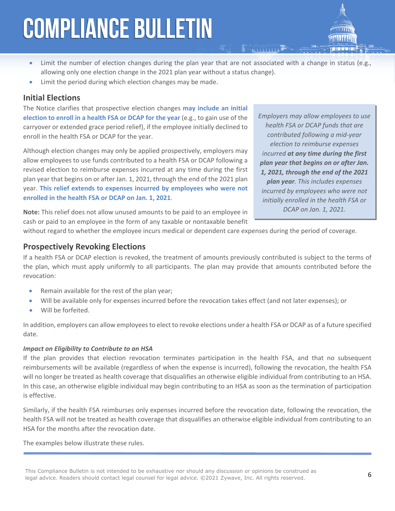- Limit the number of election changes during the plan year that are not associated with a change in status (e.g., allowing only one election change in the 2021 plan year without a status change).
- Limit the period during which election changes may be made.

### **Initial Elections**

The Notice clarifies that prospective election changes **may include an initial election to enroll in a health FSA or DCAP for the year** (e.g., to gain use of the carryover or extended grace period relief), if the employee initially declined to enroll in the health FSA or DCAP for the year.

Although election changes may only be applied prospectively, employers may allow employees to use funds contributed to a health FSA or DCAP following a revised election to reimburse expenses incurred at any time during the first plan year that begins on or after Jan. 1, 2021, through the end of the 2021 plan year. **This relief extends to expenses incurred by employees who were not enrolled in the health FSA or DCAP on Jan. 1, 2021**.

*Employers may allow employees to use health FSA or DCAP funds that are contributed following a mid-year election to reimburse expenses incurred at any time during the first plan year that begins on or after Jan. 1, 2021, through the end of the 2021 plan year. This includes expenses incurred by employees who were not initially enrolled in the health FSA or DCAP on Jan. 1, 2021.*

**Note:** This relief does not allow unused amounts to be paid to an employee in cash or paid to an employee in the form of any taxable or nontaxable benefit

without regard to whether the employee incurs medical or dependent care expenses during the period of coverage.

### **Prospectively Revoking Elections**

If a health FSA or DCAP election is revoked, the treatment of amounts previously contributed is subject to the terms of the plan, which must apply uniformly to all participants. The plan may provide that amounts contributed before the revocation:

- Remain available for the rest of the plan year;
- Will be available only for expenses incurred before the revocation takes effect (and not later expenses); or
- Will be forfeited.

In addition, employers can allow employees to elect to revoke elections under a health FSA or DCAP as of a future specified date.

#### *Impact on Eligibility to Contribute to an HSA*

If the plan provides that election revocation terminates participation in the health FSA, and that no subsequent reimbursements will be available (regardless of when the expense is incurred), following the revocation, the health FSA will no longer be treated as health coverage that disqualifies an otherwise eligible individual from contributing to an HSA. In this case, an otherwise eligible individual may begin contributing to an HSA as soon as the termination of participation is effective.

Similarly, if the health FSA reimburses only expenses incurred before the revocation date, following the revocation, the health FSA will not be treated as health coverage that disqualifies an otherwise eligible individual from contributing to an HSA for the months after the revocation date.

The examples below illustrate these rules.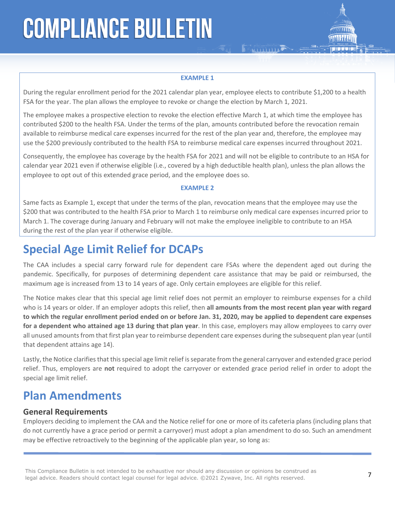#### **EXAMPLE 1**

**E FAILURE AND LAD** 

During the regular enrollment period for the 2021 calendar plan year, employee elects to contribute \$1,200 to a health FSA for the year. The plan allows the employee to revoke or change the election by March 1, 2021.

The employee makes a prospective election to revoke the election effective March 1, at which time the employee has contributed \$200 to the health FSA. Under the terms of the plan, amounts contributed before the revocation remain available to reimburse medical care expenses incurred for the rest of the plan year and, therefore, the employee may use the \$200 previously contributed to the health FSA to reimburse medical care expenses incurred throughout 2021.

Consequently, the employee has coverage by the health FSA for 2021 and will not be eligible to contribute to an HSA for calendar year 2021 even if otherwise eligible (i.e., covered by a high deductible health plan), unless the plan allows the employee to opt out of this extended grace period, and the employee does so.

#### **EXAMPLE 2**

Same facts as Example 1, except that under the terms of the plan, revocation means that the employee may use the \$200 that was contributed to the health FSA prior to March 1 to reimburse only medical care expenses incurred prior to March 1. The coverage during January and February will not make the employee ineligible to contribute to an HSA during the rest of the plan year if otherwise eligible.

# **Special Age Limit Relief for DCAPs**

The CAA includes a special carry forward rule for dependent care FSAs where the dependent aged out during the pandemic. Specifically, for purposes of determining dependent care assistance that may be paid or reimbursed, the maximum age is increased from 13 to 14 years of age. Only certain employees are eligible for this relief.

The Notice makes clear that this special age limit relief does not permit an employer to reimburse expenses for a child who is 14 years or older. If an employer adopts this relief, then **all amounts from the most recent plan year with regard to which the regular enrollment period ended on or before Jan. 31, 2020, may be applied to dependent care expenses for a dependent who attained age 13 during that plan year**. In this case, employers may allow employees to carry over all unused amounts from that first plan year to reimburse dependent care expenses during the subsequent plan year (until that dependent attains age 14).

Lastly, the Notice clarifies that this special age limit relief is separate from the general carryover and extended grace period relief. Thus, employers are **not** required to adopt the carryover or extended grace period relief in order to adopt the special age limit relief.

# **Plan Amendments**

#### **General Requirements**

Employers deciding to implement the CAA and the Notice relief for one or more of its cafeteria plans (including plans that do not currently have a grace period or permit a carryover) must adopt a plan amendment to do so. Such an amendment may be effective retroactively to the beginning of the applicable plan year, so long as: